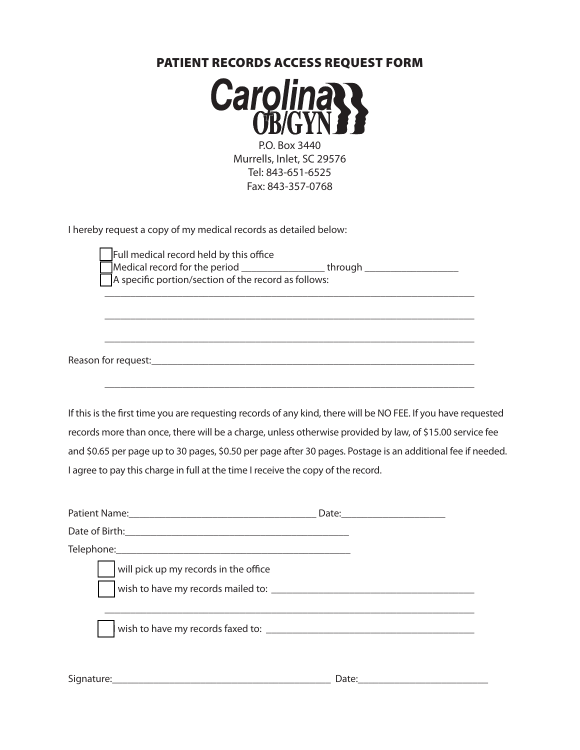## Patient Records Access Request Form



P.O. Box 3440 Murrells, Inlet, SC 29576 Tel: 843-651-6525 Fax: 843-357-0768

I hereby request a copy of my medical records as detailed below:

| Full medical record held by this office              |         |  |
|------------------------------------------------------|---------|--|
| Medical record for the period                        | through |  |
| A specific portion/section of the record as follows: |         |  |

\_\_\_\_\_\_\_\_\_\_\_\_\_\_\_\_\_\_\_\_\_\_\_\_\_\_\_\_\_\_\_\_\_\_\_\_\_\_\_\_\_\_\_\_\_\_\_\_\_\_\_\_\_\_\_\_\_\_\_\_\_\_\_\_\_\_\_\_\_\_\_

\_\_\_\_\_\_\_\_\_\_\_\_\_\_\_\_\_\_\_\_\_\_\_\_\_\_\_\_\_\_\_\_\_\_\_\_\_\_\_\_\_\_\_\_\_\_\_\_\_\_\_\_\_\_\_\_\_\_\_\_\_\_\_\_\_\_\_\_\_\_\_

\_\_\_\_\_\_\_\_\_\_\_\_\_\_\_\_\_\_\_\_\_\_\_\_\_\_\_\_\_\_\_\_\_\_\_\_\_\_\_\_\_\_\_\_\_\_\_\_\_\_\_\_\_\_\_\_\_\_\_\_\_\_\_\_\_\_\_\_\_\_\_

Reason for request: example of the state of the state of the state of the state of the state of the state of the state of the state of the state of the state of the state of the state of the state of the state of the state

If this is the first time you are requesting records of any kind, there will be NO FEE. If you have requested records more than once, there will be a charge, unless otherwise provided by law, of \$15.00 service fee and \$0.65 per page up to 30 pages, \$0.50 per page after 30 pages. Postage is an additional fee if needed. I agree to pay this charge in full at the time I receive the copy of the record.

| will pick up my records in the office |       |
|---------------------------------------|-------|
|                                       |       |
|                                       |       |
|                                       | Date: |